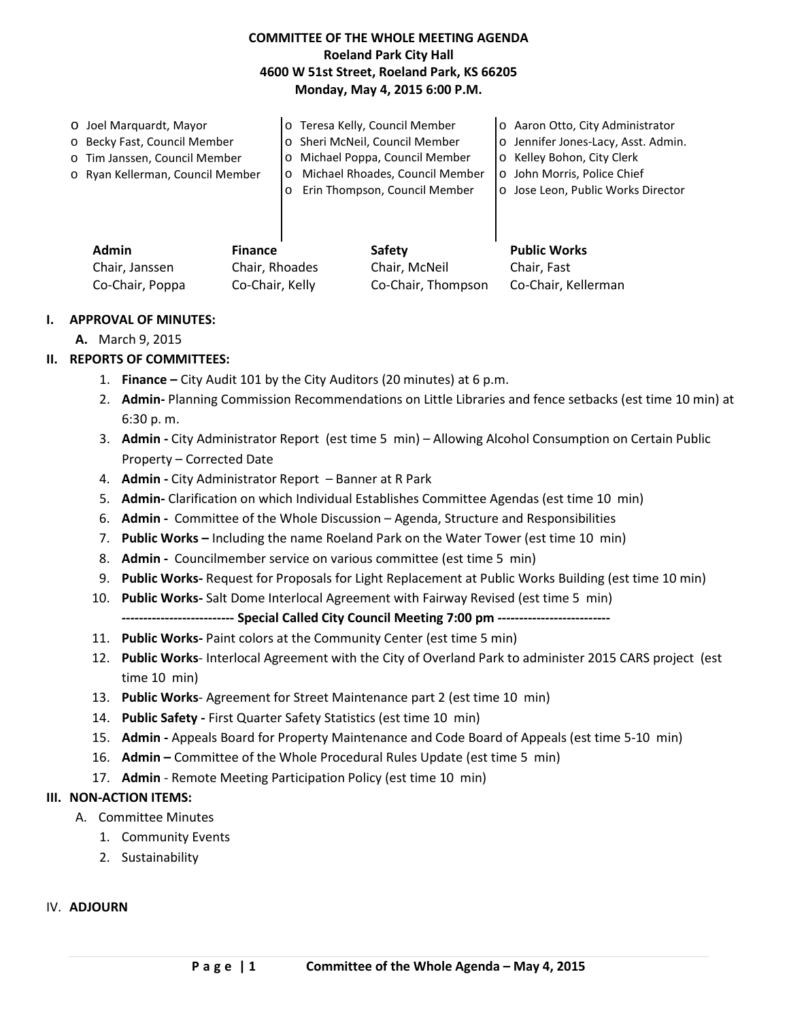## **COMMITTEE OF THE WHOLE MEETING AGENDA Roeland Park City Hall 4600 W 51st Street, Roeland Park, KS 66205 Monday, May 4, 2015 6:00 P.M.**

| O Joel Marquardt, Mayor          |         | o Teresa Kelly, Council Member  | o Aaron Otto, City Administrator    |
|----------------------------------|---------|---------------------------------|-------------------------------------|
| o Becky Fast, Council Member     |         | o Sheri McNeil, Council Member  | o Jennifer Jones-Lacy, Asst. Admin. |
| o Tim Janssen, Council Member    | $\circ$ | Michael Poppa, Council Member   | o Kelley Bohon, City Clerk          |
| o Ryan Kellerman, Council Member |         | Michael Rhoades, Council Member | o John Morris, Police Chief         |
|                                  |         | Erin Thompson, Council Member   | o Jose Leon, Public Works Director  |
|                                  |         |                                 |                                     |
|                                  |         |                                 |                                     |
|                                  |         |                                 |                                     |
| Admin<br><b>Finance</b>          |         | <b>Safety</b>                   | <b>Public Works</b>                 |

#### **I. APPROVAL OF MINUTES:**

**A.** March 9, 2015

### **II. REPORTS OF COMMITTEES:**

1. **Finance –** City Audit 101 by the City Auditors (20 minutes) at 6 p.m.

Chair, Janssen Chair, Rhoades Chair, McNeil Chair, Fast

Co-Chair, Poppa Co-Chair, Kelly Co-Chair, Thompson Co-Chair, Kellerman

- 2. **Admin-** Planning Commission Recommendations on Little Libraries and fence setbacks (est time 10 min) at 6:30 p. m.
- 3. **Admin -** City Administrator Report (est time 5 min) Allowing Alcohol Consumption on Certain Public Property – Corrected Date
- 4. **Admin -** City Administrator Report Banner at R Park
- 5. **Admin-** Clarification on which Individual Establishes Committee Agendas (est time 10 min)
- 6. **Admin** Committee of the Whole Discussion Agenda, Structure and Responsibilities
- 7. **Public Works –** Including the name Roeland Park on the Water Tower (est time 10 min)
- 8. **Admin -** Councilmember service on various committee (est time 5 min)
- 9. **Public Works-** Request for Proposals for Light Replacement at Public Works Building (est time 10 min)
- 10. **Public Works-** Salt Dome Interlocal Agreement with Fairway Revised (est time 5 min)

**-------------------------- Special Called City Council Meeting 7:00 pm --------------------------**

- 11. **Public Works-** Paint colors at the Community Center (est time 5 min)
- 12. **Public Works** Interlocal Agreement with the City of Overland Park to administer 2015 CARS project (est time 10 min)
- 13. **Public Works** Agreement for Street Maintenance part 2 (est time 10 min)
- 14. **Public Safety -** First Quarter Safety Statistics (est time 10 min)
- 15. **Admin -** Appeals Board for Property Maintenance and Code Board of Appeals (est time 5-10 min)
- 16. **Admin –** Committee of the Whole Procedural Rules Update (est time 5 min)
- 17. **Admin**  Remote Meeting Participation Policy (est time 10 min)

#### **III. NON-ACTION ITEMS:**

- A. Committee Minutes
	- 1. Community Events
	- 2. Sustainability

## IV. **ADJOURN**